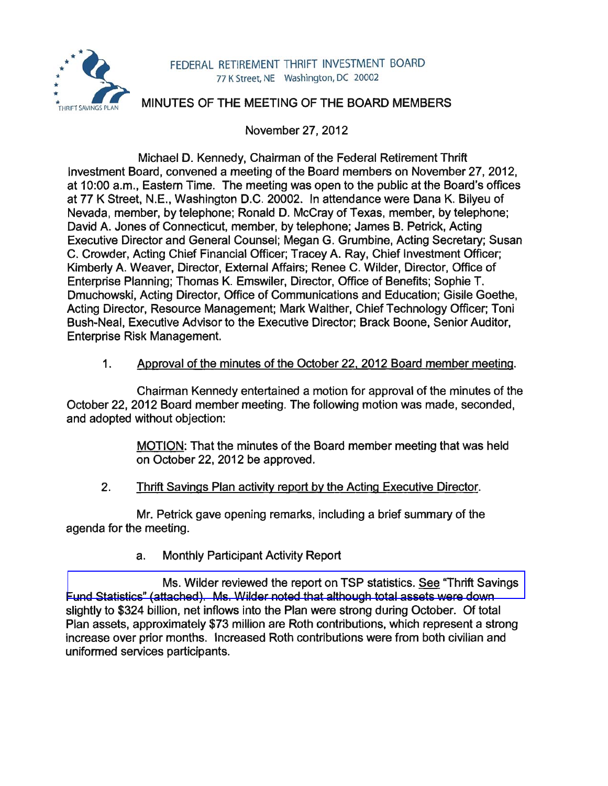

#### FEDERAL RETIREMENT THRIFT INVESTMENT BOARD 77 K Street, NE Washington, DC 20002

# MINUTES OF THE MEETING OF THE BOARD MEMBERS

November 27, 2012

Michael D. Kennedy, Chairman of the Federal Retirement Thrift Investment Board, convened a meeting of the Board members on November 27, 2012, at 10:00 a.m., Eastern Time. The meeting was open to the public at the Board's offices at 77 K Street, N.E., Washington D.C. 20002. In attendance were Dana K. Bilyeu of Nevada, member, by telephone; Ronald D. McCray of Texas, member, by telephone; David A. Jones of Connecticut, member, by telephone; James B. Petrick, Acting Executive Director and General Counsel; Megan G. Grumbine, Acting Secretary; Susan C. Crowder, Acting Chief Financial Officer; Tracey A. Ray, Chief Investment Officer; Kimberly A. Weaver, Director, External Affairs; Renee C. Wilder, Director, Office of Enterprise Planning; Thomas K. Emswiler, Director, Office of Benefits; Sophie T. Dmuchowski, Acting Director, Office of Communications and Education; Gisile Goethe, Acting Director, Resource Management; Mark Walther, Chief Technology Officer; Toni Bush-Neal, Executive Advisor to the Executive Director; Brack Boone, Senior Auditor, Enterprise Risk Management.

### 1. Approval of the minutes of the October 22. 2012 Board member meeting.

Chairman Kennedy entertained a motion for approval of the minutes of the October 22, 2012 Board member meeting. The following motion was made, seconded, and adopted without objection:

> MOTION: That the minutes of the Board member meeting that was held on October 22, 2012 be approved.

## 2. Thrift Savings Plan activity report by the Acting Executive Director.

Mr. Petrick gave opening remarks, including a brief summary of the agenda for the meeting.

a. Monthly Participant Activity Report

Ms. Wilder reviewed the report on TSP statistics. See "Thrift Savings [Fund Statistics" \(attached\). Ms. Wilder noted that although total assets were down](http://www.frtib.gov/pdf/minutes/MM-2012Nov-Att1.pdf)  slightly to \$324 billion, net inflows into the Plan were strong during October. Of total Plan assets, approximately \$73 million are Roth contributions, which represent a strong increase over prior months. Increased Roth contributions were from both civilian and uniformed services participants.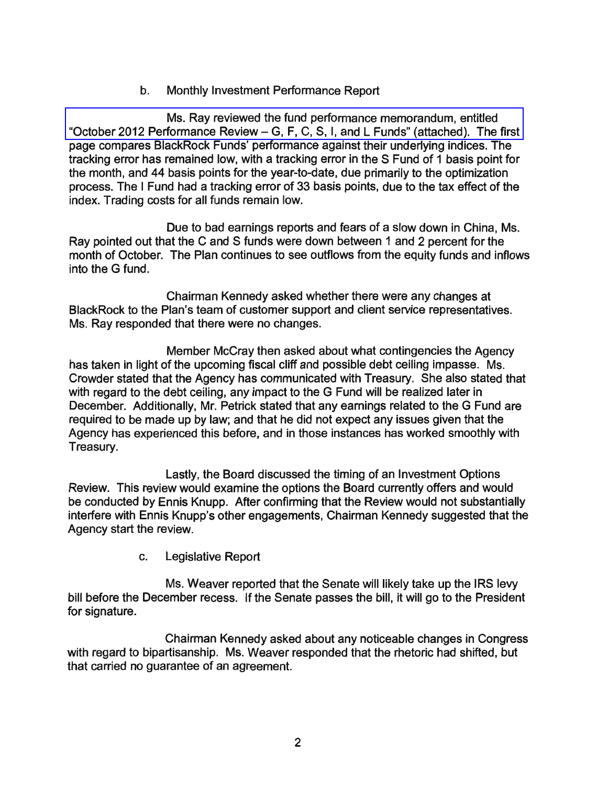b. Monthly Investment Performance Report

[Ms. Ray reviewed the fund performance memorandum, entitled](http://www.frtib.gov/pdf/minutes/MM-2012Nov-Att2.pdf)  "October 2012 Performance Review - G, F, C, S, I, and L Funds" (attached). The first page compares BlackRock Funds' performance against their underlying indices. The tracking error has remained low, with a tracking error in the S Fund of 1 basis point for the month, and 44 basis points for the year-to-date, due primarily to the optimization process. The I Fund had a tracking error of 33 basis points, due to the tax effect of the index. Trading costs for all funds remain low.

Due to bad earnings reports and fears of a slow down in China, Ms. Ray pointed out that the C and S funds were down between 1 and 2 percent for the month of October. The Plan continues to see outflows from the equity funds and inflows into the G fund.

Chairman Kennedy asked whether there were any changes at BlackRock to the Plan's team of customer support and client service representatives. Ms. Ray responded that there were no changes.

Member McCray then asked about what contingencies the Agency has taken in light of the upcoming fiscal cliff and possible debt ceiling impasse. Ms. Crowder stated that the Agency has communicated with Treasury. She also stated that with regard to the debt ceiling, any impact to the G Fund will be realized later in December. Additionally, Mr. Petrick stated that any earnings related to the G Fund are required to be made up by law; and that he did not expect any issues given that the Agency has experienced this before, and in those instances has worked smoothly with Treasury.

Lastly, the Board discussed the timing of an Investment Options Review. This review would examine the options the Board currently offers and would be conducted by Ennis Knupp. After confirming that the Review would not substantially interfere with Ennis Knupp's other engagements, Chairman Kennedy suggested that the Agency start the review.

c. Legislative Report

Ms. Weaver reported that the Senate will likely take up the IRS levy bill before the December recess. If the Senate passes the bill, it will go to the President for signature.

Chairman Kennedy asked about any noticeable changes in Congress with regard to bipartisanship. Ms. Weaver responded that the rhetoric had shifted, but that carried no guarantee of an agreement.